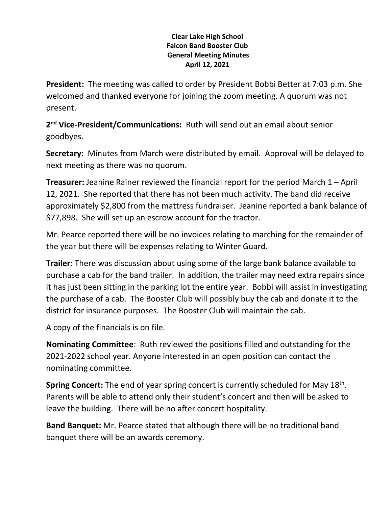## **Clear Lake High School Falcon Band Booster Club General Meeting Minutes April 12, 2021**

**President:** The meeting was called to order by President Bobbi Better at 7:03 p.m. She welcomed and thanked everyone for joining the zoom meeting. A quorum was not present.

**2 nd Vice-President/Communications:** Ruth will send out an email about senior goodbyes.

**Secretary:** Minutes from March were distributed by email. Approval will be delayed to next meeting as there was no quorum.

**Treasurer:** Jeanine Rainer reviewed the financial report for the period March 1 – April 12, 2021. She reported that there has not been much activity. The band did receive approximately \$2,800 from the mattress fundraiser. Jeanine reported a bank balance of \$77,898. She will set up an escrow account for the tractor.

Mr. Pearce reported there will be no invoices relating to marching for the remainder of the year but there will be expenses relating to Winter Guard.

**Trailer:** There was discussion about using some of the large bank balance available to purchase a cab for the band trailer. In addition, the trailer may need extra repairs since it has just been sitting in the parking lot the entire year. Bobbi will assist in investigating the purchase of a cab. The Booster Club will possibly buy the cab and donate it to the district for insurance purposes. The Booster Club will maintain the cab.

A copy of the financials is on file.

**Nominating Committee**: Ruth reviewed the positions filled and outstanding for the 2021-2022 school year. Anyone interested in an open position can contact the nominating committee.

Spring Concert: The end of year spring concert is currently scheduled for May 18<sup>th</sup>. Parents will be able to attend only their student's concert and then will be asked to leave the building. There will be no after concert hospitality.

**Band Banquet:** Mr. Pearce stated that although there will be no traditional band banquet there will be an awards ceremony.